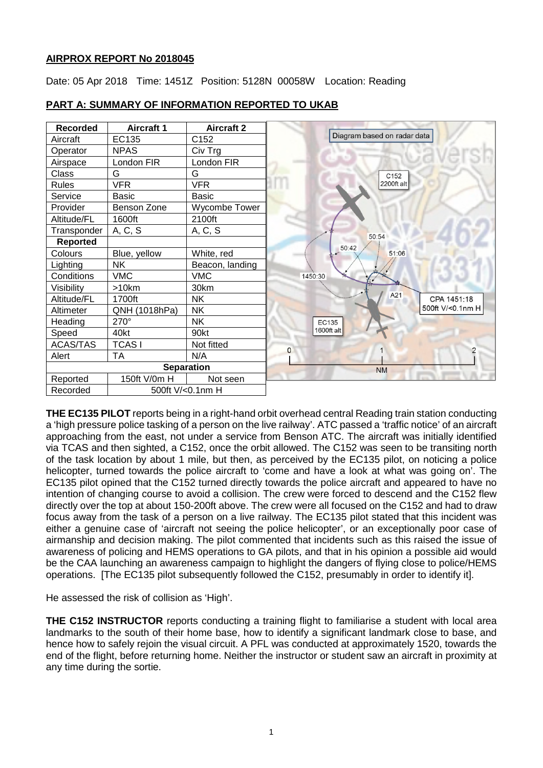## **AIRPROX REPORT No 2018045**

Date: 05 Apr 2018 Time: 1451Z Position: 5128N 00058W Location: Reading



# **PART A: SUMMARY OF INFORMATION REPORTED TO UKAB**

**THE EC135 PILOT** reports being in a right-hand orbit overhead central Reading train station conducting a 'high pressure police tasking of a person on the live railway'. ATC passed a 'traffic notice' of an aircraft approaching from the east, not under a service from Benson ATC. The aircraft was initially identified via TCAS and then sighted, a C152, once the orbit allowed. The C152 was seen to be transiting north of the task location by about 1 mile, but then, as perceived by the EC135 pilot, on noticing a police helicopter, turned towards the police aircraft to 'come and have a look at what was going on'. The EC135 pilot opined that the C152 turned directly towards the police aircraft and appeared to have no intention of changing course to avoid a collision. The crew were forced to descend and the C152 flew directly over the top at about 150-200ft above. The crew were all focused on the C152 and had to draw focus away from the task of a person on a live railway. The EC135 pilot stated that this incident was either a genuine case of 'aircraft not seeing the police helicopter', or an exceptionally poor case of airmanship and decision making. The pilot commented that incidents such as this raised the issue of awareness of policing and HEMS operations to GA pilots, and that in his opinion a possible aid would be the CAA launching an awareness campaign to highlight the dangers of flying close to police/HEMS operations. [The EC135 pilot subsequently followed the C152, presumably in order to identify it].

He assessed the risk of collision as 'High'.

**THE C152 INSTRUCTOR** reports conducting a training flight to familiarise a student with local area landmarks to the south of their home base, how to identify a significant landmark close to base, and hence how to safely rejoin the visual circuit. A PFL was conducted at approximately 1520, towards the end of the flight, before returning home. Neither the instructor or student saw an aircraft in proximity at any time during the sortie.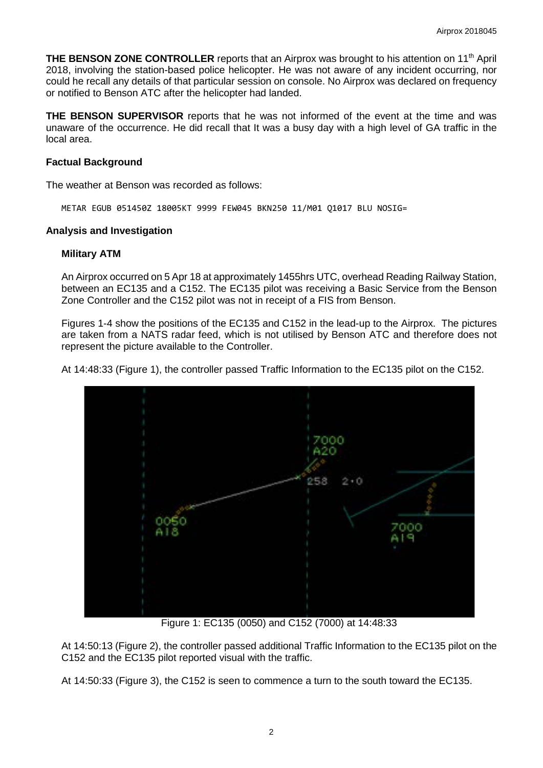**THE BENSON ZONE CONTROLLER** reports that an Airprox was brought to his attention on 11th April 2018, involving the station-based police helicopter. He was not aware of any incident occurring, nor could he recall any details of that particular session on console. No Airprox was declared on frequency or notified to Benson ATC after the helicopter had landed.

**THE BENSON SUPERVISOR** reports that he was not informed of the event at the time and was unaware of the occurrence. He did recall that It was a busy day with a high level of GA traffic in the local area.

## **Factual Background**

The weather at Benson was recorded as follows:

METAR EGUB 051450Z 18005KT 9999 FEW045 BKN250 11/M01 Q1017 BLU NOSIG=

#### **Analysis and Investigation**

#### **Military ATM**

An Airprox occurred on 5 Apr 18 at approximately 1455hrs UTC, overhead Reading Railway Station, between an EC135 and a C152. The EC135 pilot was receiving a Basic Service from the Benson Zone Controller and the C152 pilot was not in receipt of a FIS from Benson.

Figures 1-4 show the positions of the EC135 and C152 in the lead-up to the Airprox. The pictures are taken from a NATS radar feed, which is not utilised by Benson ATC and therefore does not represent the picture available to the Controller.

At 14:48:33 (Figure 1), the controller passed Traffic Information to the EC135 pilot on the C152.



Figure 1: EC135 (0050) and C152 (7000) at 14:48:33

At 14:50:13 (Figure 2), the controller passed additional Traffic Information to the EC135 pilot on the C152 and the EC135 pilot reported visual with the traffic.

At 14:50:33 (Figure 3), the C152 is seen to commence a turn to the south toward the EC135.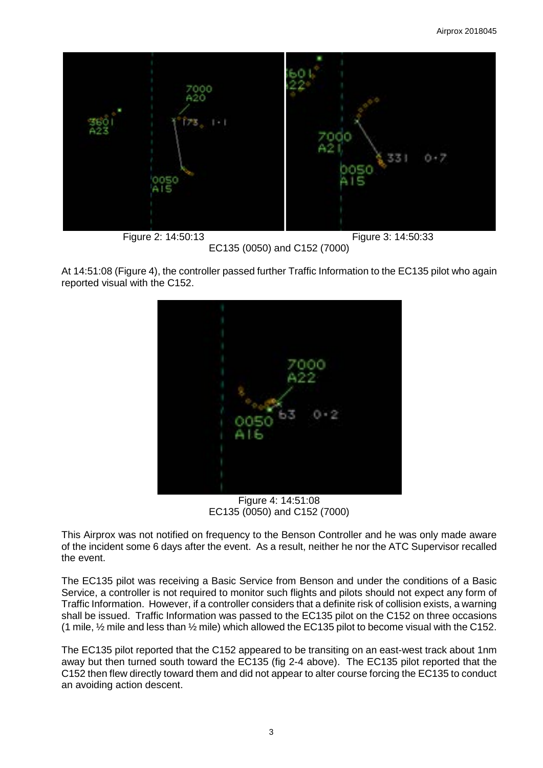

EC135 (0050) and C152 (7000)

At 14:51:08 (Figure 4), the controller passed further Traffic Information to the EC135 pilot who again reported visual with the C152.



Figure 4: 14:51:08 EC135 (0050) and C152 (7000)

This Airprox was not notified on frequency to the Benson Controller and he was only made aware of the incident some 6 days after the event. As a result, neither he nor the ATC Supervisor recalled the event.

The EC135 pilot was receiving a Basic Service from Benson and under the conditions of a Basic Service, a controller is not required to monitor such flights and pilots should not expect any form of Traffic Information. However, if a controller considers that a definite risk of collision exists, a warning shall be issued. Traffic Information was passed to the EC135 pilot on the C152 on three occasions (1 mile,  $\frac{1}{2}$  mile and less than  $\frac{1}{2}$  mile) which allowed the EC135 pilot to become visual with the C152.

The EC135 pilot reported that the C152 appeared to be transiting on an east-west track about 1nm away but then turned south toward the EC135 (fig 2-4 above). The EC135 pilot reported that the C152 then flew directly toward them and did not appear to alter course forcing the EC135 to conduct an avoiding action descent.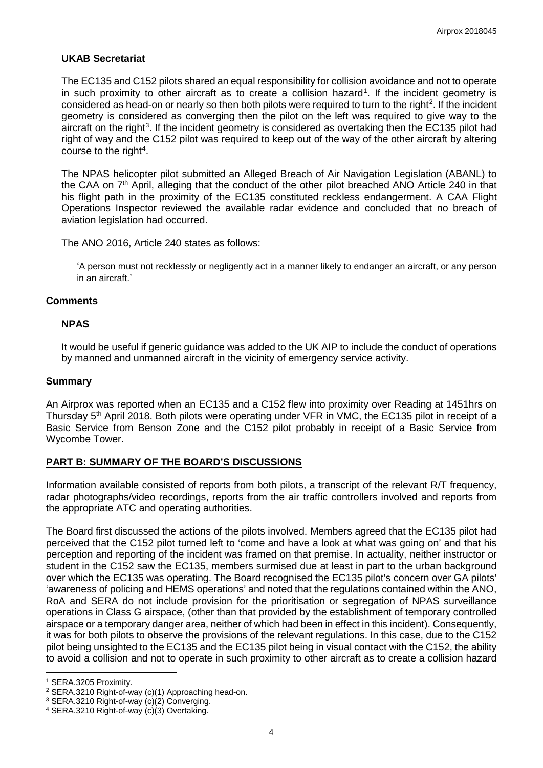## **UKAB Secretariat**

The EC135 and C152 pilots shared an equal responsibility for collision avoidance and not to operate in such proximity to other aircraft as to create a collision hazard<sup>[1](#page-3-0)</sup>. If the incident geometry is considered as head-on or nearly so then both pilots were required to turn to the right<sup>[2](#page-3-1)</sup>. If the incident geometry is considered as converging then the pilot on the left was required to give way to the aircraft on the right<sup>[3](#page-3-2)</sup>. If the incident geometry is considered as overtaking then the EC135 pilot had right of way and the C152 pilot was required to keep out of the way of the other aircraft by altering course to the right<sup>[4](#page-3-3)</sup>.

The NPAS helicopter pilot submitted an Alleged Breach of Air Navigation Legislation (ABANL) to the CAA on  $7<sup>th</sup>$  April, alleging that the conduct of the other pilot breached ANO Article 240 in that his flight path in the proximity of the EC135 constituted reckless endangerment. A CAA Flight Operations Inspector reviewed the available radar evidence and concluded that no breach of aviation legislation had occurred.

The ANO 2016, Article 240 states as follows:

'A person must not recklessly or negligently act in a manner likely to endanger an aircraft, or any person in an aircraft.'

#### **Comments**

## **NPAS**

It would be useful if generic guidance was added to the UK AIP to include the conduct of operations by manned and unmanned aircraft in the vicinity of emergency service activity.

#### **Summary**

An Airprox was reported when an EC135 and a C152 flew into proximity over Reading at 1451hrs on Thursday 5<sup>th</sup> April 2018. Both pilots were operating under VFR in VMC, the EC135 pilot in receipt of a Basic Service from Benson Zone and the C152 pilot probably in receipt of a Basic Service from Wycombe Tower.

# **PART B: SUMMARY OF THE BOARD'S DISCUSSIONS**

Information available consisted of reports from both pilots, a transcript of the relevant R/T frequency, radar photographs/video recordings, reports from the air traffic controllers involved and reports from the appropriate ATC and operating authorities.

The Board first discussed the actions of the pilots involved. Members agreed that the EC135 pilot had perceived that the C152 pilot turned left to 'come and have a look at what was going on' and that his perception and reporting of the incident was framed on that premise. In actuality, neither instructor or student in the C152 saw the EC135, members surmised due at least in part to the urban background over which the EC135 was operating. The Board recognised the EC135 pilot's concern over GA pilots' 'awareness of policing and HEMS operations' and noted that the regulations contained within the ANO, RoA and SERA do not include provision for the prioritisation or segregation of NPAS surveillance operations in Class G airspace, (other than that provided by the establishment of temporary controlled airspace or a temporary danger area, neither of which had been in effect in this incident). Consequently, it was for both pilots to observe the provisions of the relevant regulations. In this case, due to the C152 pilot being unsighted to the EC135 and the EC135 pilot being in visual contact with the C152, the ability to avoid a collision and not to operate in such proximity to other aircraft as to create a collision hazard

 $\overline{a}$ 

<span id="page-3-0"></span><sup>1</sup> SERA.3205 Proximity.

<span id="page-3-1"></span><sup>2</sup> SERA.3210 Right-of-way (c)(1) Approaching head-on.

<span id="page-3-2"></span><sup>3</sup> SERA.3210 Right-of-way (c)(2) Converging.

<span id="page-3-3"></span><sup>4</sup> SERA.3210 Right-of-way (c)(3) Overtaking.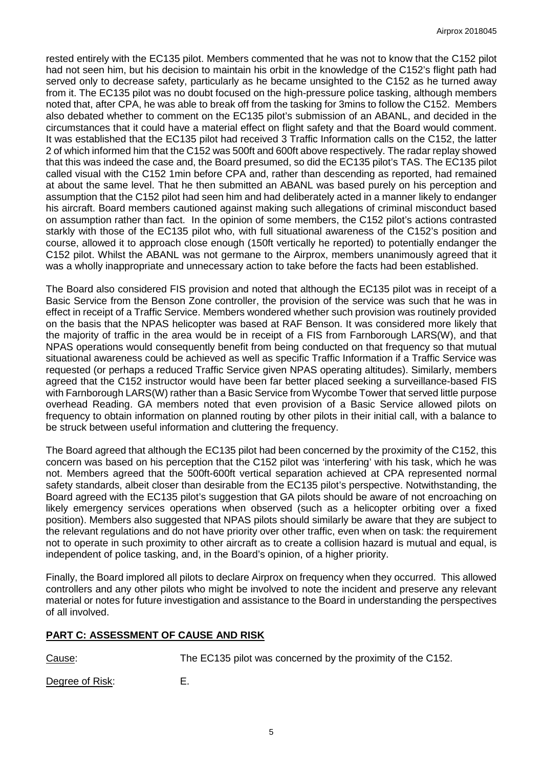rested entirely with the EC135 pilot. Members commented that he was not to know that the C152 pilot had not seen him, but his decision to maintain his orbit in the knowledge of the C152's flight path had served only to decrease safety, particularly as he became unsighted to the C152 as he turned away from it. The EC135 pilot was no doubt focused on the high-pressure police tasking, although members noted that, after CPA, he was able to break off from the tasking for 3mins to follow the C152. Members also debated whether to comment on the EC135 pilot's submission of an ABANL, and decided in the circumstances that it could have a material effect on flight safety and that the Board would comment. It was established that the EC135 pilot had received 3 Traffic Information calls on the C152, the latter 2 of which informed him that the C152 was 500ft and 600ft above respectively. The radar replay showed that this was indeed the case and, the Board presumed, so did the EC135 pilot's TAS. The EC135 pilot called visual with the C152 1min before CPA and, rather than descending as reported, had remained at about the same level. That he then submitted an ABANL was based purely on his perception and assumption that the C152 pilot had seen him and had deliberately acted in a manner likely to endanger his aircraft. Board members cautioned against making such allegations of criminal misconduct based on assumption rather than fact. In the opinion of some members, the C152 pilot's actions contrasted starkly with those of the EC135 pilot who, with full situational awareness of the C152's position and course, allowed it to approach close enough (150ft vertically he reported) to potentially endanger the C152 pilot. Whilst the ABANL was not germane to the Airprox, members unanimously agreed that it was a wholly inappropriate and unnecessary action to take before the facts had been established.

The Board also considered FIS provision and noted that although the EC135 pilot was in receipt of a Basic Service from the Benson Zone controller, the provision of the service was such that he was in effect in receipt of a Traffic Service. Members wondered whether such provision was routinely provided on the basis that the NPAS helicopter was based at RAF Benson. It was considered more likely that the majority of traffic in the area would be in receipt of a FIS from Farnborough LARS(W), and that NPAS operations would consequently benefit from being conducted on that frequency so that mutual situational awareness could be achieved as well as specific Traffic Information if a Traffic Service was requested (or perhaps a reduced Traffic Service given NPAS operating altitudes). Similarly, members agreed that the C152 instructor would have been far better placed seeking a surveillance-based FIS with Farnborough LARS(W) rather than a Basic Service from Wycombe Tower that served little purpose overhead Reading. GA members noted that even provision of a Basic Service allowed pilots on frequency to obtain information on planned routing by other pilots in their initial call, with a balance to be struck between useful information and cluttering the frequency.

The Board agreed that although the EC135 pilot had been concerned by the proximity of the C152, this concern was based on his perception that the C152 pilot was 'interfering' with his task, which he was not. Members agreed that the 500ft-600ft vertical separation achieved at CPA represented normal safety standards, albeit closer than desirable from the EC135 pilot's perspective. Notwithstanding, the Board agreed with the EC135 pilot's suggestion that GA pilots should be aware of not encroaching on likely emergency services operations when observed (such as a helicopter orbiting over a fixed position). Members also suggested that NPAS pilots should similarly be aware that they are subject to the relevant regulations and do not have priority over other traffic, even when on task: the requirement not to operate in such proximity to other aircraft as to create a collision hazard is mutual and equal, is independent of police tasking, and, in the Board's opinion, of a higher priority.

Finally, the Board implored all pilots to declare Airprox on frequency when they occurred. This allowed controllers and any other pilots who might be involved to note the incident and preserve any relevant material or notes for future investigation and assistance to the Board in understanding the perspectives of all involved.

# **PART C: ASSESSMENT OF CAUSE AND RISK**

Cause: The EC135 pilot was concerned by the proximity of the C152.

Degree of Risk: E.